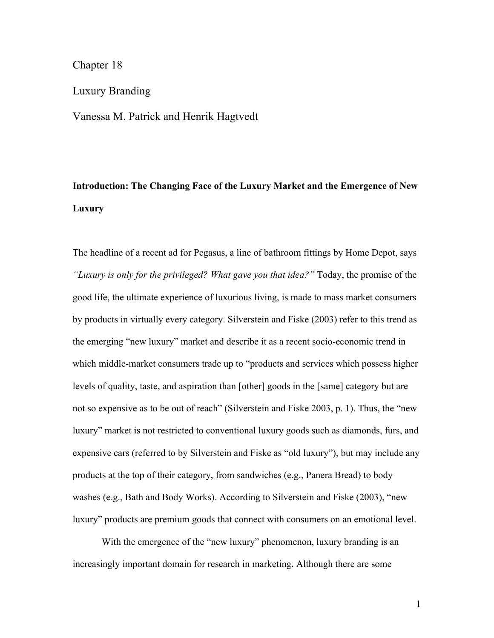### Chapter 18

## Luxury Branding

Vanessa M. Patrick and Henrik Hagtvedt

# **Introduction: The Changing Face of the Luxury Market and the Emergence of New Luxury**

The headline of a recent ad for Pegasus, a line of bathroom fittings by Home Depot, says *"Luxury is only for the privileged? What gave you that idea?"* Today, the promise of the good life, the ultimate experience of luxurious living, is made to mass market consumers by products in virtually every category. Silverstein and Fiske (2003) refer to this trend as the emerging "new luxury" market and describe it as a recent socio-economic trend in which middle-market consumers trade up to "products and services which possess higher levels of quality, taste, and aspiration than [other] goods in the [same] category but are not so expensive as to be out of reach" (Silverstein and Fiske 2003, p. 1). Thus, the "new luxury" market is not restricted to conventional luxury goods such as diamonds, furs, and expensive cars (referred to by Silverstein and Fiske as "old luxury"), but may include any products at the top of their category, from sandwiches (e.g., Panera Bread) to body washes (e.g., Bath and Body Works). According to Silverstein and Fiske (2003), "new luxury" products are premium goods that connect with consumers on an emotional level.

With the emergence of the "new luxury" phenomenon, luxury branding is an increasingly important domain for research in marketing. Although there are some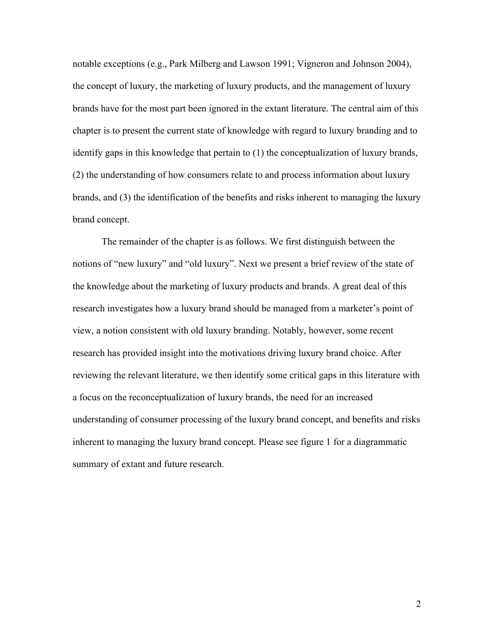notable exceptions (e.g., Park Milberg and Lawson 1991; Vigneron and Johnson 2004), the concept of luxury, the marketing of luxury products, and the management of luxury brands have for the most part been ignored in the extant literature. The central aim of this chapter is to present the current state of knowledge with regard to luxury branding and to identify gaps in this knowledge that pertain to (1) the conceptualization of luxury brands, (2) the understanding of how consumers relate to and process information about luxury brands, and (3) the identification of the benefits and risks inherent to managing the luxury brand concept.

The remainder of the chapter is as follows. We first distinguish between the notions of "new luxury" and "old luxury". Next we present a brief review of the state of the knowledge about the marketing of luxury products and brands. A great deal of this research investigates how a luxury brand should be managed from a marketer's point of view, a notion consistent with old luxury branding. Notably, however, some recent research has provided insight into the motivations driving luxury brand choice. After reviewing the relevant literature, we then identify some critical gaps in this literature with a focus on the reconceptualization of luxury brands, the need for an increased understanding of consumer processing of the luxury brand concept, and benefits and risks inherent to managing the luxury brand concept. Please see figure 1 for a diagrammatic summary of extant and future research.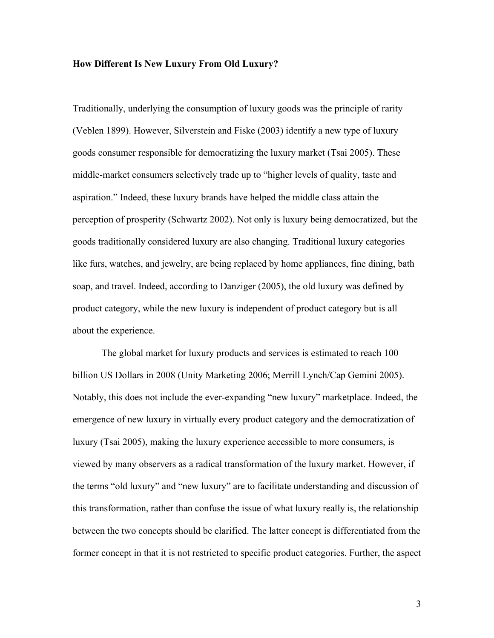#### **How Different Is New Luxury From Old Luxury?**

Traditionally, underlying the consumption of luxury goods was the principle of rarity (Veblen 1899). However, Silverstein and Fiske (2003) identify a new type of luxury goods consumer responsible for democratizing the luxury market (Tsai 2005). These middle-market consumers selectively trade up to "higher levels of quality, taste and aspiration." Indeed, these luxury brands have helped the middle class attain the perception of prosperity (Schwartz 2002). Not only is luxury being democratized, but the goods traditionally considered luxury are also changing. Traditional luxury categories like furs, watches, and jewelry, are being replaced by home appliances, fine dining, bath soap, and travel. Indeed, according to Danziger (2005), the old luxury was defined by product category, while the new luxury is independent of product category but is all about the experience.

The global market for luxury products and services is estimated to reach 100 billion US Dollars in 2008 (Unity Marketing 2006; Merrill Lynch/Cap Gemini 2005). Notably, this does not include the ever-expanding "new luxury" marketplace. Indeed, the emergence of new luxury in virtually every product category and the democratization of luxury (Tsai 2005), making the luxury experience accessible to more consumers, is viewed by many observers as a radical transformation of the luxury market. However, if the terms "old luxury" and "new luxury" are to facilitate understanding and discussion of this transformation, rather than confuse the issue of what luxury really is, the relationship between the two concepts should be clarified. The latter concept is differentiated from the former concept in that it is not restricted to specific product categories. Further, the aspect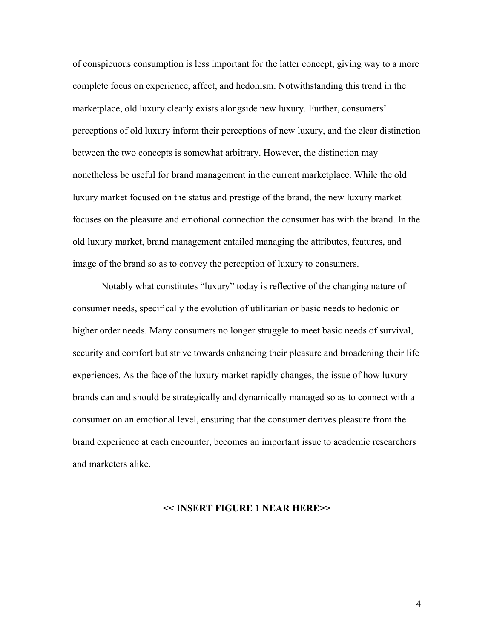of conspicuous consumption is less important for the latter concept, giving way to a more complete focus on experience, affect, and hedonism. Notwithstanding this trend in the marketplace, old luxury clearly exists alongside new luxury. Further, consumers' perceptions of old luxury inform their perceptions of new luxury, and the clear distinction between the two concepts is somewhat arbitrary. However, the distinction may nonetheless be useful for brand management in the current marketplace. While the old luxury market focused on the status and prestige of the brand, the new luxury market focuses on the pleasure and emotional connection the consumer has with the brand. In the old luxury market, brand management entailed managing the attributes, features, and image of the brand so as to convey the perception of luxury to consumers.

Notably what constitutes "luxury" today is reflective of the changing nature of consumer needs, specifically the evolution of utilitarian or basic needs to hedonic or higher order needs. Many consumers no longer struggle to meet basic needs of survival, security and comfort but strive towards enhancing their pleasure and broadening their life experiences. As the face of the luxury market rapidly changes, the issue of how luxury brands can and should be strategically and dynamically managed so as to connect with a consumer on an emotional level, ensuring that the consumer derives pleasure from the brand experience at each encounter, becomes an important issue to academic researchers and marketers alike.

#### **<< INSERT FIGURE 1 NEAR HERE>>**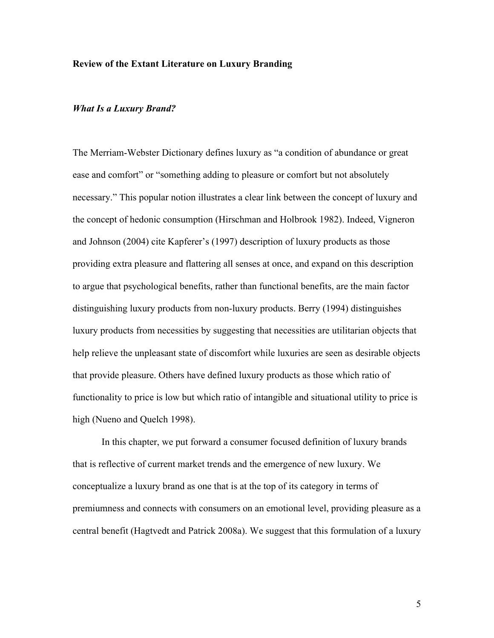#### **Review of the Extant Literature on Luxury Branding**

#### *What Is a Luxury Brand?*

The Merriam-Webster Dictionary defines luxury as "a condition of abundance or great ease and comfort" or "something adding to pleasure or comfort but not absolutely necessary." This popular notion illustrates a clear link between the concept of luxury and the concept of hedonic consumption (Hirschman and Holbrook 1982). Indeed, Vigneron and Johnson (2004) cite Kapferer's (1997) description of luxury products as those providing extra pleasure and flattering all senses at once, and expand on this description to argue that psychological benefits, rather than functional benefits, are the main factor distinguishing luxury products from non-luxury products. Berry (1994) distinguishes luxury products from necessities by suggesting that necessities are utilitarian objects that help relieve the unpleasant state of discomfort while luxuries are seen as desirable objects that provide pleasure. Others have defined luxury products as those which ratio of functionality to price is low but which ratio of intangible and situational utility to price is high (Nueno and Quelch 1998).

In this chapter, we put forward a consumer focused definition of luxury brands that is reflective of current market trends and the emergence of new luxury. We conceptualize a luxury brand as one that is at the top of its category in terms of premiumness and connects with consumers on an emotional level, providing pleasure as a central benefit (Hagtvedt and Patrick 2008a). We suggest that this formulation of a luxury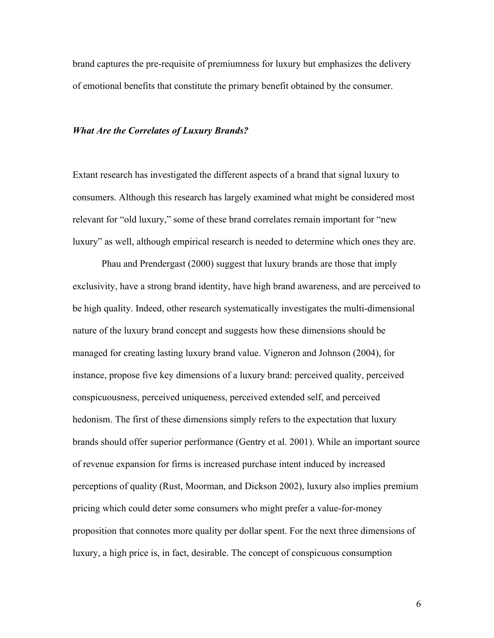brand captures the pre-requisite of premiumness for luxury but emphasizes the delivery of emotional benefits that constitute the primary benefit obtained by the consumer.

#### *What Are the Correlates of Luxury Brands?*

Extant research has investigated the different aspects of a brand that signal luxury to consumers. Although this research has largely examined what might be considered most relevant for "old luxury," some of these brand correlates remain important for "new luxury" as well, although empirical research is needed to determine which ones they are.

Phau and Prendergast (2000) suggest that luxury brands are those that imply exclusivity, have a strong brand identity, have high brand awareness, and are perceived to be high quality. Indeed, other research systematically investigates the multi-dimensional nature of the luxury brand concept and suggests how these dimensions should be managed for creating lasting luxury brand value. Vigneron and Johnson (2004), for instance, propose five key dimensions of a luxury brand: perceived quality, perceived conspicuousness, perceived uniqueness, perceived extended self, and perceived hedonism. The first of these dimensions simply refers to the expectation that luxury brands should offer superior performance (Gentry et al. 2001). While an important source of revenue expansion for firms is increased purchase intent induced by increased perceptions of quality (Rust, Moorman, and Dickson 2002), luxury also implies premium pricing which could deter some consumers who might prefer a value-for-money proposition that connotes more quality per dollar spent. For the next three dimensions of luxury, a high price is, in fact, desirable. The concept of conspicuous consumption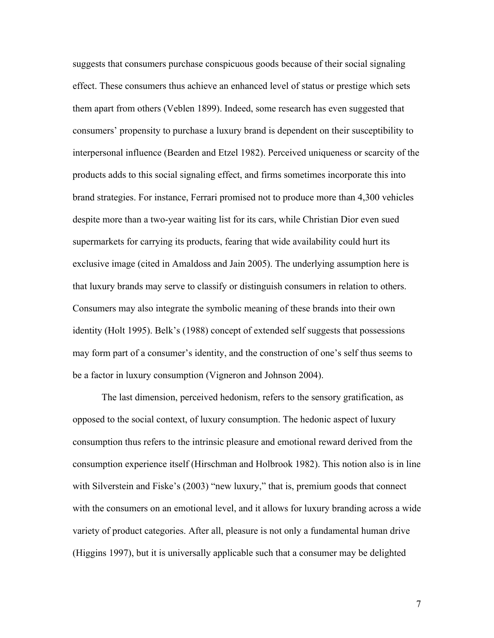suggests that consumers purchase conspicuous goods because of their social signaling effect. These consumers thus achieve an enhanced level of status or prestige which sets them apart from others (Veblen 1899). Indeed, some research has even suggested that consumers' propensity to purchase a luxury brand is dependent on their susceptibility to interpersonal influence (Bearden and Etzel 1982). Perceived uniqueness or scarcity of the products adds to this social signaling effect, and firms sometimes incorporate this into brand strategies. For instance, Ferrari promised not to produce more than 4,300 vehicles despite more than a two-year waiting list for its cars, while Christian Dior even sued supermarkets for carrying its products, fearing that wide availability could hurt its exclusive image (cited in Amaldoss and Jain 2005). The underlying assumption here is that luxury brands may serve to classify or distinguish consumers in relation to others. Consumers may also integrate the symbolic meaning of these brands into their own identity (Holt 1995). Belk's (1988) concept of extended self suggests that possessions may form part of a consumer's identity, and the construction of one's self thus seems to be a factor in luxury consumption (Vigneron and Johnson 2004).

The last dimension, perceived hedonism, refers to the sensory gratification, as opposed to the social context, of luxury consumption. The hedonic aspect of luxury consumption thus refers to the intrinsic pleasure and emotional reward derived from the consumption experience itself (Hirschman and Holbrook 1982). This notion also is in line with Silverstein and Fiske's (2003) "new luxury," that is, premium goods that connect with the consumers on an emotional level, and it allows for luxury branding across a wide variety of product categories. After all, pleasure is not only a fundamental human drive (Higgins 1997), but it is universally applicable such that a consumer may be delighted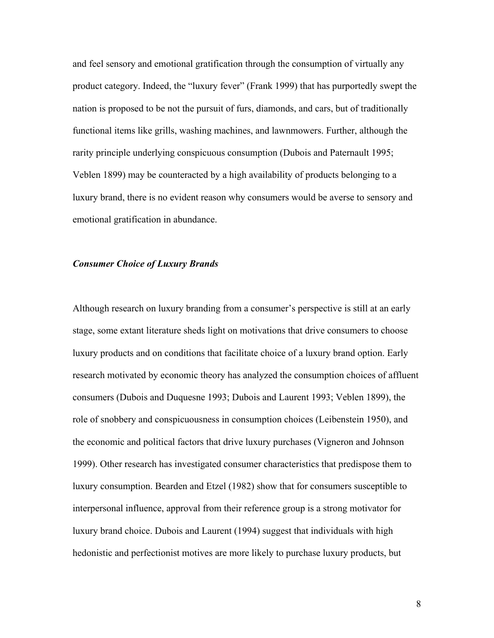and feel sensory and emotional gratification through the consumption of virtually any product category. Indeed, the "luxury fever" (Frank 1999) that has purportedly swept the nation is proposed to be not the pursuit of furs, diamonds, and cars, but of traditionally functional items like grills, washing machines, and lawnmowers. Further, although the rarity principle underlying conspicuous consumption (Dubois and Paternault 1995; Veblen 1899) may be counteracted by a high availability of products belonging to a luxury brand, there is no evident reason why consumers would be averse to sensory and emotional gratification in abundance.

#### *Consumer Choice of Luxury Brands*

Although research on luxury branding from a consumer's perspective is still at an early stage, some extant literature sheds light on motivations that drive consumers to choose luxury products and on conditions that facilitate choice of a luxury brand option. Early research motivated by economic theory has analyzed the consumption choices of affluent consumers (Dubois and Duquesne 1993; Dubois and Laurent 1993; Veblen 1899), the role of snobbery and conspicuousness in consumption choices (Leibenstein 1950), and the economic and political factors that drive luxury purchases (Vigneron and Johnson 1999). Other research has investigated consumer characteristics that predispose them to luxury consumption. Bearden and Etzel (1982) show that for consumers susceptible to interpersonal influence, approval from their reference group is a strong motivator for luxury brand choice. Dubois and Laurent (1994) suggest that individuals with high hedonistic and perfectionist motives are more likely to purchase luxury products, but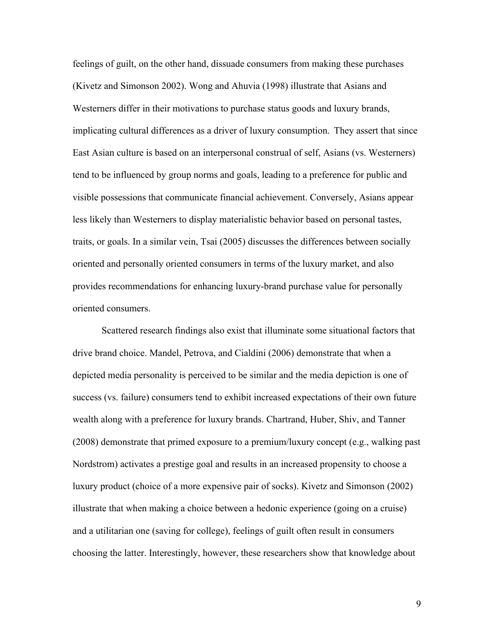feelings of guilt, on the other hand, dissuade consumers from making these purchases (Kivetz and Simonson 2002). Wong and Ahuvia (1998) illustrate that Asians and Westerners differ in their motivations to purchase status goods and luxury brands, implicating cultural differences as a driver of luxury consumption. They assert that since East Asian culture is based on an interpersonal construal of self, Asians (vs. Westerners) tend to be influenced by group norms and goals, leading to a preference for public and visible possessions that communicate financial achievement. Conversely, Asians appear less likely than Westerners to display materialistic behavior based on personal tastes, traits, or goals. In a similar vein, Tsai (2005) discusses the differences between socially oriented and personally oriented consumers in terms of the luxury market, and also provides recommendations for enhancing luxury-brand purchase value for personally oriented consumers.

Scattered research findings also exist that illuminate some situational factors that drive brand choice. Mandel, Petrova, and Cialdini (2006) demonstrate that when a depicted media personality is perceived to be similar and the media depiction is one of success (vs. failure) consumers tend to exhibit increased expectations of their own future wealth along with a preference for luxury brands. Chartrand, Huber, Shiv, and Tanner (2008) demonstrate that primed exposure to a premium/luxury concept (e.g., walking past Nordstrom) activates a prestige goal and results in an increased propensity to choose a luxury product (choice of a more expensive pair of socks). Kivetz and Simonson (2002) illustrate that when making a choice between a hedonic experience (going on a cruise) and a utilitarian one (saving for college), feelings of guilt often result in consumers choosing the latter. Interestingly, however, these researchers show that knowledge about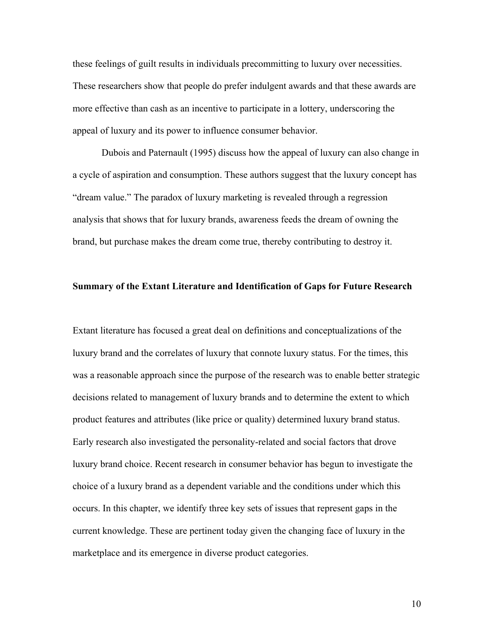these feelings of guilt results in individuals precommitting to luxury over necessities. These researchers show that people do prefer indulgent awards and that these awards are more effective than cash as an incentive to participate in a lottery, underscoring the appeal of luxury and its power to influence consumer behavior.

Dubois and Paternault (1995) discuss how the appeal of luxury can also change in a cycle of aspiration and consumption. These authors suggest that the luxury concept has "dream value." The paradox of luxury marketing is revealed through a regression analysis that shows that for luxury brands, awareness feeds the dream of owning the brand, but purchase makes the dream come true, thereby contributing to destroy it.

#### **Summary of the Extant Literature and Identification of Gaps for Future Research**

Extant literature has focused a great deal on definitions and conceptualizations of the luxury brand and the correlates of luxury that connote luxury status. For the times, this was a reasonable approach since the purpose of the research was to enable better strategic decisions related to management of luxury brands and to determine the extent to which product features and attributes (like price or quality) determined luxury brand status. Early research also investigated the personality-related and social factors that drove luxury brand choice. Recent research in consumer behavior has begun to investigate the choice of a luxury brand as a dependent variable and the conditions under which this occurs. In this chapter, we identify three key sets of issues that represent gaps in the current knowledge. These are pertinent today given the changing face of luxury in the marketplace and its emergence in diverse product categories.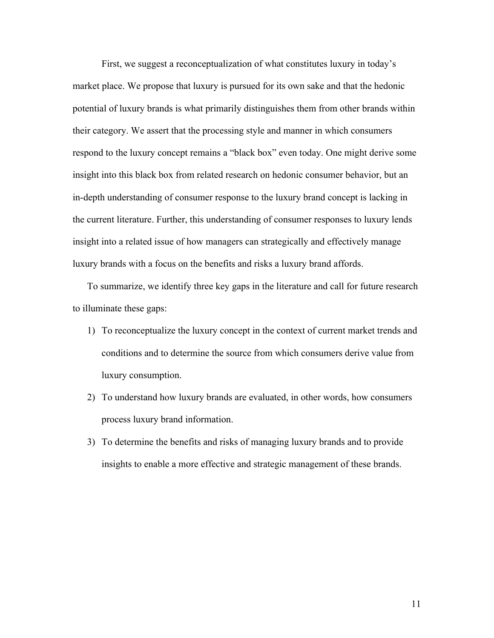First, we suggest a reconceptualization of what constitutes luxury in today's market place. We propose that luxury is pursued for its own sake and that the hedonic potential of luxury brands is what primarily distinguishes them from other brands within their category. We assert that the processing style and manner in which consumers respond to the luxury concept remains a "black box" even today. One might derive some insight into this black box from related research on hedonic consumer behavior, but an in-depth understanding of consumer response to the luxury brand concept is lacking in the current literature. Further, this understanding of consumer responses to luxury lends insight into a related issue of how managers can strategically and effectively manage luxury brands with a focus on the benefits and risks a luxury brand affords.

To summarize, we identify three key gaps in the literature and call for future research to illuminate these gaps:

- 1) To reconceptualize the luxury concept in the context of current market trends and conditions and to determine the source from which consumers derive value from luxury consumption.
- 2) To understand how luxury brands are evaluated, in other words, how consumers process luxury brand information.
- 3) To determine the benefits and risks of managing luxury brands and to provide insights to enable a more effective and strategic management of these brands.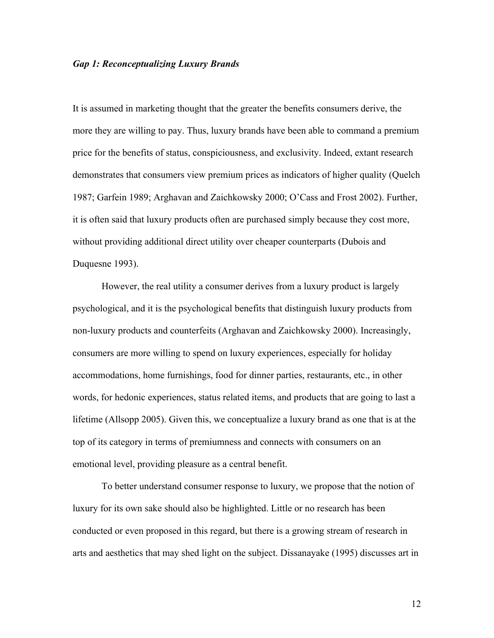#### *Gap 1: Reconceptualizing Luxury Brands*

It is assumed in marketing thought that the greater the benefits consumers derive, the more they are willing to pay. Thus, luxury brands have been able to command a premium price for the benefits of status, conspiciousness, and exclusivity. Indeed, extant research demonstrates that consumers view premium prices as indicators of higher quality (Quelch 1987; Garfein 1989; Arghavan and Zaichkowsky 2000; O'Cass and Frost 2002). Further, it is often said that luxury products often are purchased simply because they cost more, without providing additional direct utility over cheaper counterparts (Dubois and Duquesne 1993).

However, the real utility a consumer derives from a luxury product is largely psychological, and it is the psychological benefits that distinguish luxury products from non-luxury products and counterfeits (Arghavan and Zaichkowsky 2000). Increasingly, consumers are more willing to spend on luxury experiences, especially for holiday accommodations, home furnishings, food for dinner parties, restaurants, etc., in other words, for hedonic experiences, status related items, and products that are going to last a lifetime (Allsopp 2005). Given this, we conceptualize a luxury brand as one that is at the top of its category in terms of premiumness and connects with consumers on an emotional level, providing pleasure as a central benefit.

To better understand consumer response to luxury, we propose that the notion of luxury for its own sake should also be highlighted. Little or no research has been conducted or even proposed in this regard, but there is a growing stream of research in arts and aesthetics that may shed light on the subject. Dissanayake (1995) discusses art in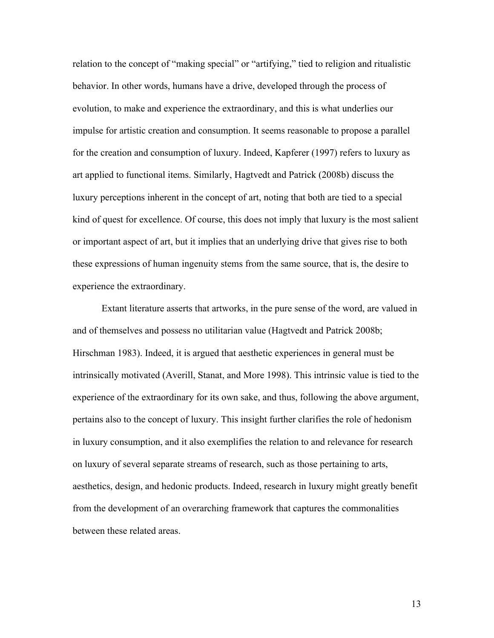relation to the concept of "making special" or "artifying," tied to religion and ritualistic behavior. In other words, humans have a drive, developed through the process of evolution, to make and experience the extraordinary, and this is what underlies our impulse for artistic creation and consumption. It seems reasonable to propose a parallel for the creation and consumption of luxury. Indeed, Kapferer (1997) refers to luxury as art applied to functional items. Similarly, Hagtvedt and Patrick (2008b) discuss the luxury perceptions inherent in the concept of art, noting that both are tied to a special kind of quest for excellence. Of course, this does not imply that luxury is the most salient or important aspect of art, but it implies that an underlying drive that gives rise to both these expressions of human ingenuity stems from the same source, that is, the desire to experience the extraordinary.

Extant literature asserts that artworks, in the pure sense of the word, are valued in and of themselves and possess no utilitarian value (Hagtvedt and Patrick 2008b; Hirschman 1983). Indeed, it is argued that aesthetic experiences in general must be intrinsically motivated (Averill, Stanat, and More 1998). This intrinsic value is tied to the experience of the extraordinary for its own sake, and thus, following the above argument, pertains also to the concept of luxury. This insight further clarifies the role of hedonism in luxury consumption, and it also exemplifies the relation to and relevance for research on luxury of several separate streams of research, such as those pertaining to arts, aesthetics, design, and hedonic products. Indeed, research in luxury might greatly benefit from the development of an overarching framework that captures the commonalities between these related areas.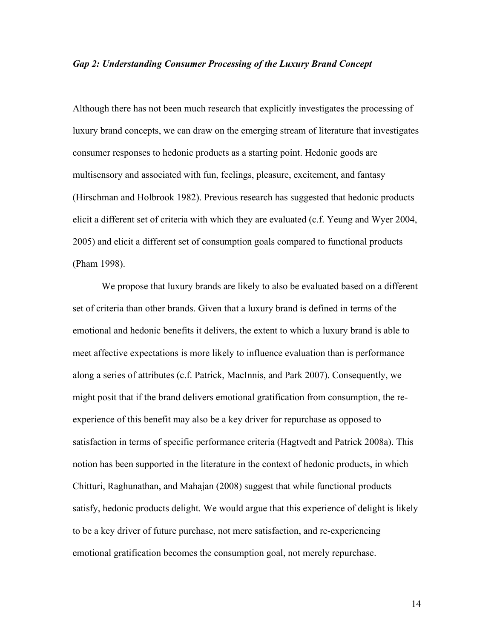#### *Gap 2: Understanding Consumer Processing of the Luxury Brand Concept*

Although there has not been much research that explicitly investigates the processing of luxury brand concepts, we can draw on the emerging stream of literature that investigates consumer responses to hedonic products as a starting point. Hedonic goods are multisensory and associated with fun, feelings, pleasure, excitement, and fantasy (Hirschman and Holbrook 1982). Previous research has suggested that hedonic products elicit a different set of criteria with which they are evaluated (c.f. Yeung and Wyer 2004, 2005) and elicit a different set of consumption goals compared to functional products (Pham 1998).

We propose that luxury brands are likely to also be evaluated based on a different set of criteria than other brands. Given that a luxury brand is defined in terms of the emotional and hedonic benefits it delivers, the extent to which a luxury brand is able to meet affective expectations is more likely to influence evaluation than is performance along a series of attributes (c.f. Patrick, MacInnis, and Park 2007). Consequently, we might posit that if the brand delivers emotional gratification from consumption, the reexperience of this benefit may also be a key driver for repurchase as opposed to satisfaction in terms of specific performance criteria (Hagtvedt and Patrick 2008a). This notion has been supported in the literature in the context of hedonic products, in which Chitturi, Raghunathan, and Mahajan (2008) suggest that while functional products satisfy, hedonic products delight. We would argue that this experience of delight is likely to be a key driver of future purchase, not mere satisfaction, and re-experiencing emotional gratification becomes the consumption goal, not merely repurchase.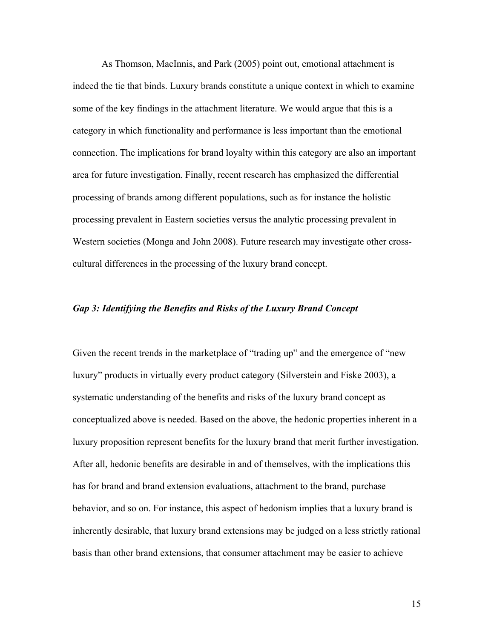As Thomson, MacInnis, and Park (2005) point out, emotional attachment is indeed the tie that binds. Luxury brands constitute a unique context in which to examine some of the key findings in the attachment literature. We would argue that this is a category in which functionality and performance is less important than the emotional connection. The implications for brand loyalty within this category are also an important area for future investigation. Finally, recent research has emphasized the differential processing of brands among different populations, such as for instance the holistic processing prevalent in Eastern societies versus the analytic processing prevalent in Western societies (Monga and John 2008). Future research may investigate other crosscultural differences in the processing of the luxury brand concept.

#### *Gap 3: Identifying the Benefits and Risks of the Luxury Brand Concept*

Given the recent trends in the marketplace of "trading up" and the emergence of "new luxury" products in virtually every product category (Silverstein and Fiske 2003), a systematic understanding of the benefits and risks of the luxury brand concept as conceptualized above is needed. Based on the above, the hedonic properties inherent in a luxury proposition represent benefits for the luxury brand that merit further investigation. After all, hedonic benefits are desirable in and of themselves, with the implications this has for brand and brand extension evaluations, attachment to the brand, purchase behavior, and so on. For instance, this aspect of hedonism implies that a luxury brand is inherently desirable, that luxury brand extensions may be judged on a less strictly rational basis than other brand extensions, that consumer attachment may be easier to achieve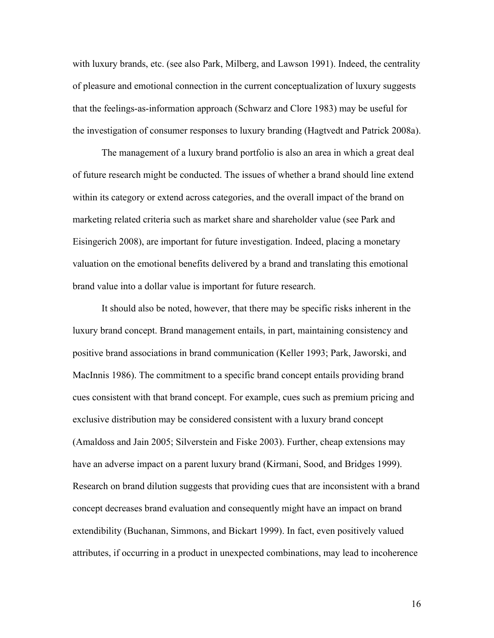with luxury brands, etc. (see also Park, Milberg, and Lawson 1991). Indeed, the centrality of pleasure and emotional connection in the current conceptualization of luxury suggests that the feelings-as-information approach (Schwarz and Clore 1983) may be useful for the investigation of consumer responses to luxury branding (Hagtvedt and Patrick 2008a).

The management of a luxury brand portfolio is also an area in which a great deal of future research might be conducted. The issues of whether a brand should line extend within its category or extend across categories, and the overall impact of the brand on marketing related criteria such as market share and shareholder value (see Park and Eisingerich 2008), are important for future investigation. Indeed, placing a monetary valuation on the emotional benefits delivered by a brand and translating this emotional brand value into a dollar value is important for future research.

It should also be noted, however, that there may be specific risks inherent in the luxury brand concept. Brand management entails, in part, maintaining consistency and positive brand associations in brand communication (Keller 1993; Park, Jaworski, and MacInnis 1986). The commitment to a specific brand concept entails providing brand cues consistent with that brand concept. For example, cues such as premium pricing and exclusive distribution may be considered consistent with a luxury brand concept (Amaldoss and Jain 2005; Silverstein and Fiske 2003). Further, cheap extensions may have an adverse impact on a parent luxury brand (Kirmani, Sood, and Bridges 1999). Research on brand dilution suggests that providing cues that are inconsistent with a brand concept decreases brand evaluation and consequently might have an impact on brand extendibility (Buchanan, Simmons, and Bickart 1999). In fact, even positively valued attributes, if occurring in a product in unexpected combinations, may lead to incoherence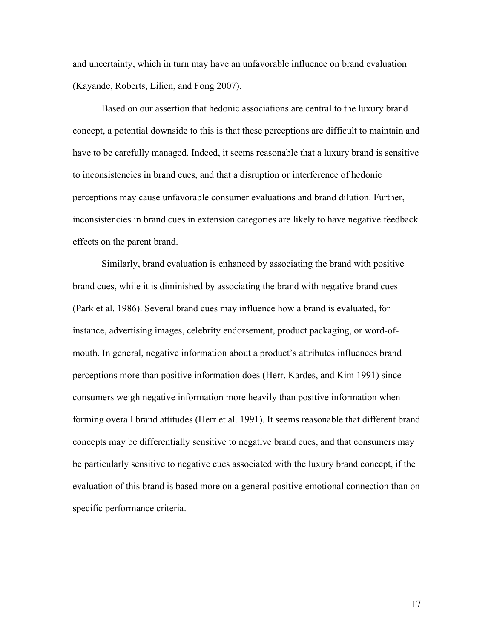and uncertainty, which in turn may have an unfavorable influence on brand evaluation (Kayande, Roberts, Lilien, and Fong 2007).

Based on our assertion that hedonic associations are central to the luxury brand concept, a potential downside to this is that these perceptions are difficult to maintain and have to be carefully managed. Indeed, it seems reasonable that a luxury brand is sensitive to inconsistencies in brand cues, and that a disruption or interference of hedonic perceptions may cause unfavorable consumer evaluations and brand dilution. Further, inconsistencies in brand cues in extension categories are likely to have negative feedback effects on the parent brand.

Similarly, brand evaluation is enhanced by associating the brand with positive brand cues, while it is diminished by associating the brand with negative brand cues (Park et al. 1986). Several brand cues may influence how a brand is evaluated, for instance, advertising images, celebrity endorsement, product packaging, or word-ofmouth. In general, negative information about a product's attributes influences brand perceptions more than positive information does (Herr, Kardes, and Kim 1991) since consumers weigh negative information more heavily than positive information when forming overall brand attitudes (Herr et al. 1991). It seems reasonable that different brand concepts may be differentially sensitive to negative brand cues, and that consumers may be particularly sensitive to negative cues associated with the luxury brand concept, if the evaluation of this brand is based more on a general positive emotional connection than on specific performance criteria.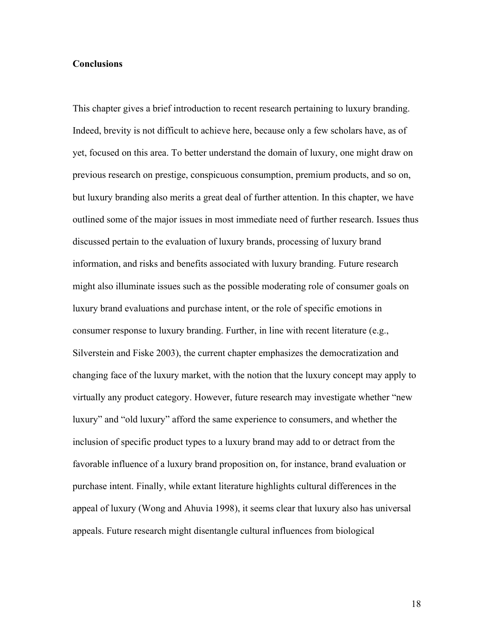#### **Conclusions**

This chapter gives a brief introduction to recent research pertaining to luxury branding. Indeed, brevity is not difficult to achieve here, because only a few scholars have, as of yet, focused on this area. To better understand the domain of luxury, one might draw on previous research on prestige, conspicuous consumption, premium products, and so on, but luxury branding also merits a great deal of further attention. In this chapter, we have outlined some of the major issues in most immediate need of further research. Issues thus discussed pertain to the evaluation of luxury brands, processing of luxury brand information, and risks and benefits associated with luxury branding. Future research might also illuminate issues such as the possible moderating role of consumer goals on luxury brand evaluations and purchase intent, or the role of specific emotions in consumer response to luxury branding. Further, in line with recent literature (e.g., Silverstein and Fiske 2003), the current chapter emphasizes the democratization and changing face of the luxury market, with the notion that the luxury concept may apply to virtually any product category. However, future research may investigate whether "new luxury" and "old luxury" afford the same experience to consumers, and whether the inclusion of specific product types to a luxury brand may add to or detract from the favorable influence of a luxury brand proposition on, for instance, brand evaluation or purchase intent. Finally, while extant literature highlights cultural differences in the appeal of luxury (Wong and Ahuvia 1998), it seems clear that luxury also has universal appeals. Future research might disentangle cultural influences from biological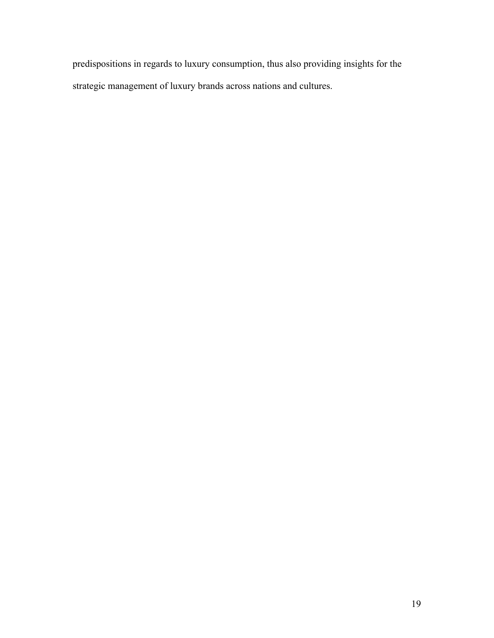predispositions in regards to luxury consumption, thus also providing insights for the strategic management of luxury brands across nations and cultures.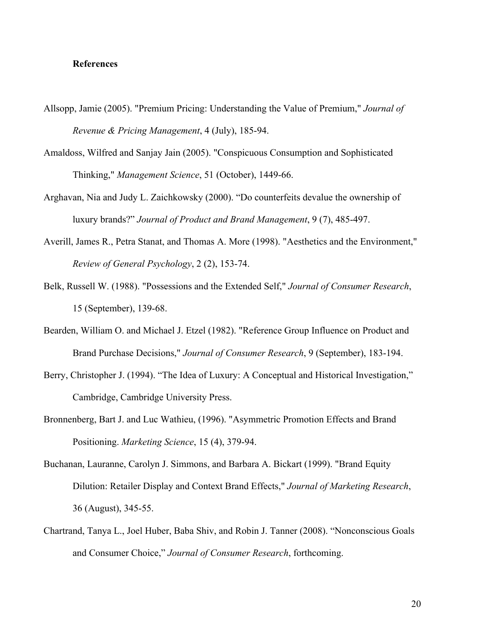#### **References**

- Allsopp, Jamie (2005). "Premium Pricing: Understanding the Value of Premium," *Journal of Revenue & Pricing Management*, 4 (July), 185-94.
- Amaldoss, Wilfred and Sanjay Jain (2005). "Conspicuous Consumption and Sophisticated Thinking," *Management Science*, 51 (October), 1449-66.
- Arghavan, Nia and Judy L. Zaichkowsky (2000). "Do counterfeits devalue the ownership of luxury brands?" *Journal of Product and Brand Management*, 9 (7), 485-497.
- Averill, James R., Petra Stanat, and Thomas A. More (1998). "Aesthetics and the Environment," *Review of General Psychology*, 2 (2), 153-74.
- Belk, Russell W. (1988). "Possessions and the Extended Self," *Journal of Consumer Research*, 15 (September), 139-68.
- Bearden, William O. and Michael J. Etzel (1982). "Reference Group Influence on Product and Brand Purchase Decisions," *Journal of Consumer Research*, 9 (September), 183-194.
- Berry, Christopher J. (1994). "The Idea of Luxury: A Conceptual and Historical Investigation," Cambridge, Cambridge University Press.
- Bronnenberg, Bart J. and Luc Wathieu, (1996). "Asymmetric Promotion Effects and Brand Positioning. *Marketing Science*, 15 (4), 379-94.
- Buchanan, Lauranne, Carolyn J. Simmons, and Barbara A. Bickart (1999). "Brand Equity Dilution: Retailer Display and Context Brand Effects," *Journal of Marketing Research*, 36 (August), 345-55.
- Chartrand, Tanya L., Joel Huber, Baba Shiv, and Robin J. Tanner (2008). "Nonconscious Goals and Consumer Choice," *Journal of Consumer Research*, forthcoming.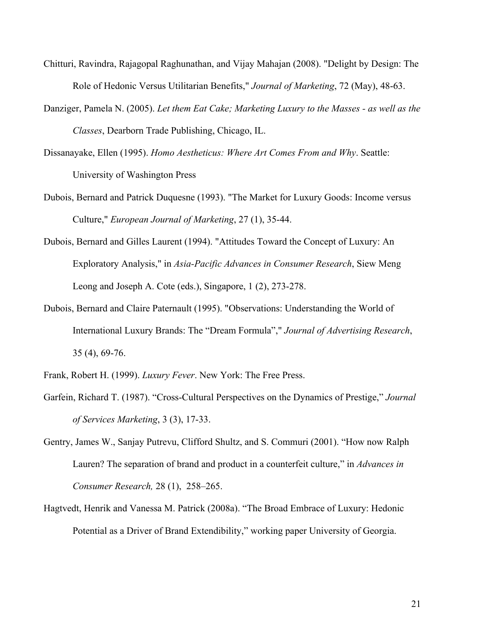- Chitturi, Ravindra, Rajagopal Raghunathan, and Vijay Mahajan (2008). "Delight by Design: The Role of Hedonic Versus Utilitarian Benefits," *Journal of Marketing*, 72 (May), 48-63.
- Danziger, Pamela N. (2005). *Let them Eat Cake; Marketing Luxury to the Masses as well as the Classes*, Dearborn Trade Publishing, Chicago, IL.
- Dissanayake, Ellen (1995). *Homo Aestheticus: Where Art Comes From and Why*. Seattle: University of Washington Press
- Dubois, Bernard and Patrick Duquesne (1993). "The Market for Luxury Goods: Income versus Culture," *European Journal of Marketing*, 27 (1), 35-44.
- Dubois, Bernard and Gilles Laurent (1994). "Attitudes Toward the Concept of Luxury: An Exploratory Analysis," in *Asia-Pacific Advances in Consumer Research*, Siew Meng Leong and Joseph A. Cote (eds.), Singapore, 1 (2), 273-278.
- Dubois, Bernard and Claire Paternault (1995). "Observations: Understanding the World of International Luxury Brands: The "Dream Formula"," *Journal of Advertising Research*, 35 (4), 69-76.
- Frank, Robert H. (1999). *Luxury Fever*. New York: The Free Press.
- Garfein, Richard T. (1987). "Cross-Cultural Perspectives on the Dynamics of Prestige," *Journal of Services Marketing*, 3 (3), 17-33.
- Gentry, James W., Sanjay Putrevu, Clifford Shultz, and S. Commuri (2001). "How now Ralph Lauren? The separation of brand and product in a counterfeit culture," in *Advances in Consumer Research,* 28 (1), 258–265.
- Hagtvedt, Henrik and Vanessa M. Patrick (2008a). "The Broad Embrace of Luxury: Hedonic Potential as a Driver of Brand Extendibility," working paper University of Georgia.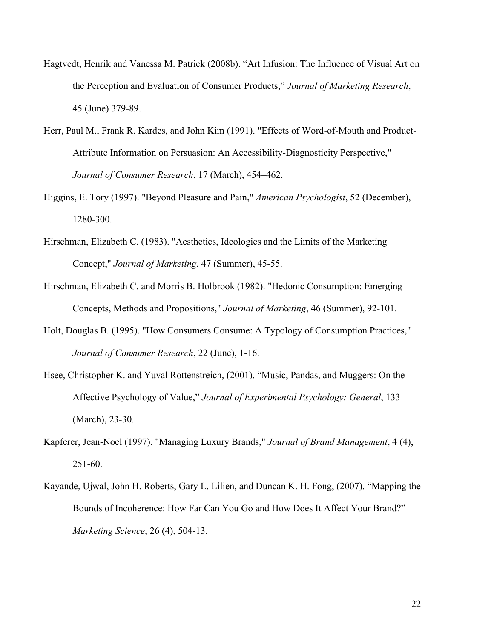- Hagtvedt, Henrik and Vanessa M. Patrick (2008b). "Art Infusion: The Influence of Visual Art on the Perception and Evaluation of Consumer Products," *Journal of Marketing Research*, 45 (June) 379-89.
- Herr, Paul M., Frank R. Kardes, and John Kim (1991). "Effects of Word-of-Mouth and Product-Attribute Information on Persuasion: An Accessibility-Diagnosticity Perspective," *Journal of Consumer Research*, 17 (March), 454–462.
- Higgins, E. Tory (1997). "Beyond Pleasure and Pain," *American Psychologist*, 52 (December), 1280-300.
- Hirschman, Elizabeth C. (1983). "Aesthetics, Ideologies and the Limits of the Marketing Concept," *Journal of Marketing*, 47 (Summer), 45-55.
- Hirschman, Elizabeth C. and Morris B. Holbrook (1982). "Hedonic Consumption: Emerging Concepts, Methods and Propositions," *Journal of Marketing*, 46 (Summer), 92-101.
- Holt, Douglas B. (1995). "How Consumers Consume: A Typology of Consumption Practices," *Journal of Consumer Research*, 22 (June), 1-16.
- Hsee, Christopher K. and Yuval Rottenstreich, (2001). "Music, Pandas, and Muggers: On the Affective Psychology of Value," *Journal of Experimental Psychology: General*, 133 (March), 23-30.
- Kapferer, Jean-Noel (1997). "Managing Luxury Brands," *Journal of Brand Management*, 4 (4), 251-60.
- Kayande, Ujwal, John H. Roberts, Gary L. Lilien, and Duncan K. H. Fong, (2007). "Mapping the Bounds of Incoherence: How Far Can You Go and How Does It Affect Your Brand?" *Marketing Science*, 26 (4), 504-13.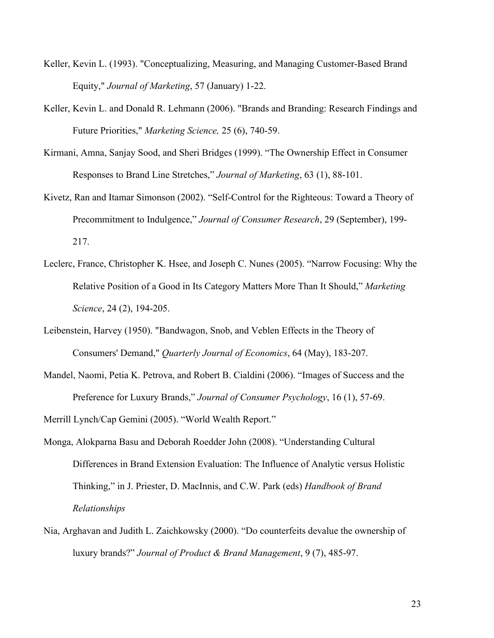- Keller, Kevin L. (1993). "Conceptualizing, Measuring, and Managing Customer-Based Brand Equity," *Journal of Marketing*, 57 (January) 1-22.
- Keller, Kevin L. and Donald R. Lehmann (2006). "Brands and Branding: Research Findings and Future Priorities," *Marketing Science,* 25 (6), 740-59.
- Kirmani, Amna, Sanjay Sood, and Sheri Bridges (1999). "The Ownership Effect in Consumer Responses to Brand Line Stretches," *Journal of Marketing*, 63 (1), 88-101.
- Kivetz, Ran and Itamar Simonson (2002). "Self-Control for the Righteous: Toward a Theory of Precommitment to Indulgence," *Journal of Consumer Research*, 29 (September), 199- 217.
- Leclerc, France, Christopher K. Hsee, and Joseph C. Nunes (2005). "Narrow Focusing: Why the Relative Position of a Good in Its Category Matters More Than It Should," *Marketing Science*, 24 (2), 194-205.
- Leibenstein, Harvey (1950). "Bandwagon, Snob, and Veblen Effects in the Theory of Consumers' Demand," *Quarterly Journal of Economics*, 64 (May), 183-207.
- Mandel, Naomi, Petia K. Petrova, and Robert B. Cialdini (2006). "Images of Success and the Preference for Luxury Brands," *Journal of Consumer Psychology*, 16 (1), 57-69.

Merrill Lynch/Cap Gemini (2005). "World Wealth Report."

- Monga, Alokparna Basu and Deborah Roedder John (2008). "Understanding Cultural Differences in Brand Extension Evaluation: The Influence of Analytic versus Holistic Thinking," in J. Priester, D. MacInnis, and C.W. Park (eds) *Handbook of Brand Relationships*
- Nia, Arghavan and Judith L. Zaichkowsky (2000). "Do counterfeits devalue the ownership of luxury brands?" *Journal of Product & Brand Management*, 9 (7), 485-97.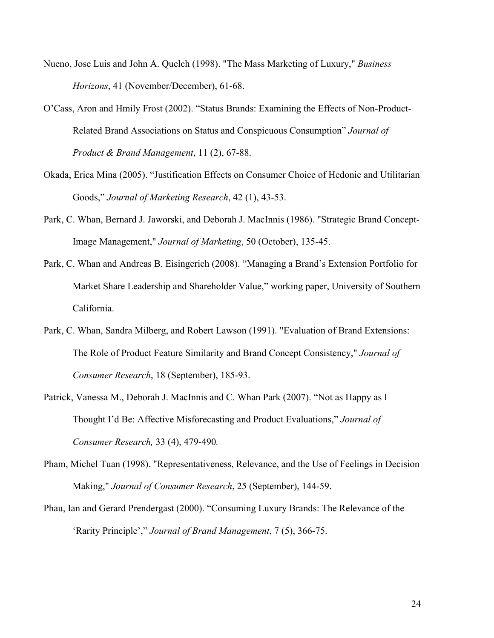- Nueno, Jose Luis and John A. Quelch (1998). "The Mass Marketing of Luxury," *Business Horizons*, 41 (November/December), 61-68.
- O'Cass, Aron and Hmily Frost (2002). "Status Brands: Examining the Effects of Non-Product-Related Brand Associations on Status and Conspicuous Consumption" *Journal of Product & Brand Management*, 11 (2), 67-88.
- Okada, Erica Mina (2005). "Justification Effects on Consumer Choice of Hedonic and Utilitarian Goods," *Journal of Marketing Research*, 42 (1), 43-53.
- Park, C. Whan, Bernard J. Jaworski, and Deborah J. MacInnis (1986). "Strategic Brand Concept-Image Management," *Journal of Marketing*, 50 (October), 135-45.
- Park, C. Whan and Andreas B. Eisingerich (2008). "Managing a Brand's Extension Portfolio for Market Share Leadership and Shareholder Value," working paper, University of Southern California.
- Park, C. Whan, Sandra Milberg, and Robert Lawson (1991). "Evaluation of Brand Extensions: The Role of Product Feature Similarity and Brand Concept Consistency," *Journal of Consumer Research*, 18 (September), 185-93.
- Patrick, Vanessa M., Deborah J. MacInnis and C. Whan Park (2007). "Not as Happy as I Thought I'd Be: Affective Misforecasting and Product Evaluations," *Journal of Consumer Research,* 33 (4), 479-490*.*
- Pham, Michel Tuan (1998). "Representativeness, Relevance, and the Use of Feelings in Decision Making," *Journal of Consumer Research*, 25 (September), 144-59.
- Phau, Ian and Gerard Prendergast (2000). "Consuming Luxury Brands: The Relevance of the 'Rarity Principle'," *Journal of Brand Management*, 7 (5), 366-75.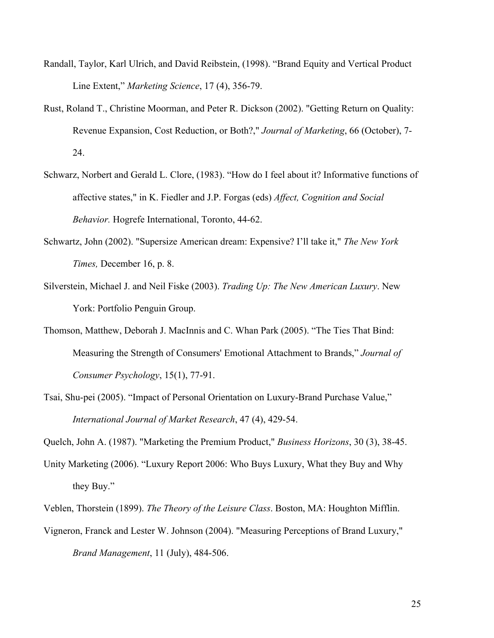- Randall, Taylor, Karl Ulrich, and David Reibstein, (1998). "Brand Equity and Vertical Product Line Extent," *Marketing Science*, 17 (4), 356-79.
- Rust, Roland T., Christine Moorman, and Peter R. Dickson (2002). "Getting Return on Quality: Revenue Expansion, Cost Reduction, or Both?," *Journal of Marketing*, 66 (October), 7- 24.
- Schwarz, Norbert and Gerald L. Clore, (1983). "How do I feel about it? Informative functions of affective states," in K. Fiedler and J.P. Forgas (eds) *Affect, Cognition and Social Behavior.* Hogrefe International, Toronto, 44-62.
- Schwartz, John (2002). "Supersize American dream: Expensive? I'll take it," *The New York Times,* December 16, p. 8.
- Silverstein, Michael J. and Neil Fiske (2003). *Trading Up: The New American Luxury*. New York: Portfolio Penguin Group.
- Thomson, Matthew, Deborah J. MacInnis and C. Whan Park (2005). "The Ties That Bind: Measuring the Strength of Consumers' Emotional Attachment to Brands," *Journal of Consumer Psychology*, 15(1), 77-91.
- Tsai, Shu-pei (2005). "Impact of Personal Orientation on Luxury-Brand Purchase Value," *International Journal of Market Research*, 47 (4), 429-54.

Quelch, John A. (1987). "Marketing the Premium Product," *Business Horizons*, 30 (3), 38-45.

- Unity Marketing (2006). "Luxury Report 2006: Who Buys Luxury, What they Buy and Why they Buy."
- Veblen, Thorstein (1899). *The Theory of the Leisure Class*. Boston, MA: Houghton Mifflin.
- Vigneron, Franck and Lester W. Johnson (2004). "Measuring Perceptions of Brand Luxury," *Brand Management*, 11 (July), 484-506.